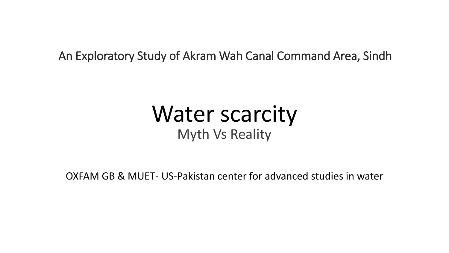An Exploratory Study of Akram Wah Canal Command Area, Sindh

## Water scarcity Myth Vs Reality

OXFAM GB & MUET- US-Pakistan center for advanced studies in water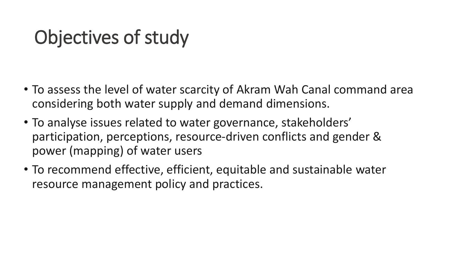# Objectives of study

- To assess the level of water scarcity of Akram Wah Canal command area considering both water supply and demand dimensions.
- To analyse issues related to water governance, stakeholders' participation, perceptions, resource-driven conflicts and gender & power (mapping) of water users
- To recommend effective, efficient, equitable and sustainable water resource management policy and practices.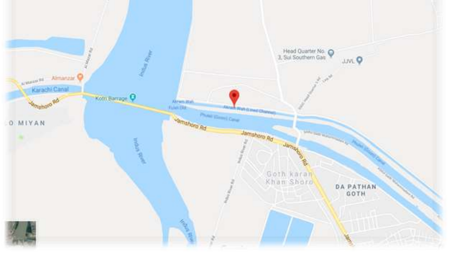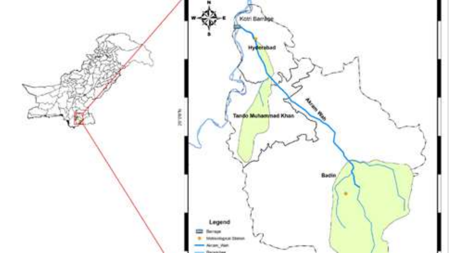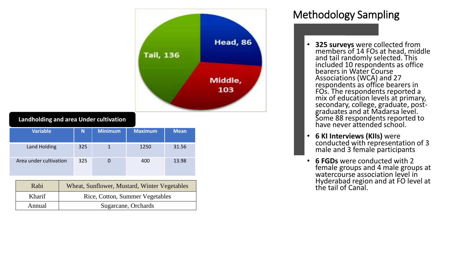

| Rabi   | Wheat, Sunflower, Mustard, Winter Vegetables |
|--------|----------------------------------------------|
| Kharif | Rice, Cotton, Summer Vegetables              |
| Annual | Sugarcane, Orchards                          |

### Methodology Sampling

- **325 surveys** were collected from members of 14 FOs at head, middle and tail randomly selected. This included 10 respondents as office bearers in Water Course Associations (WCA) and 27 respondents as office bearers in FOs. The respondents reported a mix of education levels at primary, secondary, college, graduate, post graduates and at Madarsa level. Some 88 respondents reported to have never attended school.
- **6 KI Interviews (KIIs)** were conducted with representation of 3 male and 3 female participants
- **6 FGDs** were conducted with 2 female groups and 4 male groups at watercourse association level in Hyderabad region and at FO level at the tail of Canal.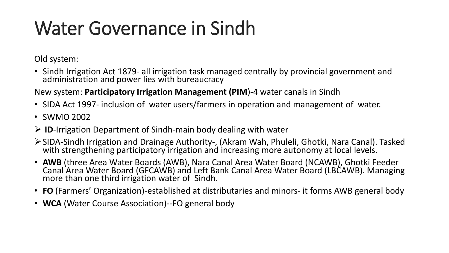# Water Governance in Sindh

Old system:

• Sindh Irrigation Act 1879- all irrigation task managed centrally by provincial government and administration and power lies with bureaucracy

New system: **Participatory Irrigation Management (PIM**)-4 water canals in Sindh

- SIDA Act 1997- inclusion of water users/farmers in operation and management of water.
- SWMO 2002
- ➢ **ID**-Irrigation Department of Sindh-main body dealing with water
- ➢SIDA-Sindh Irrigation and Drainage Authority-, (Akram Wah, Phuleli, Ghotki, Nara Canal). Tasked with strengthening participatory irrigation and increasing more autonomy at local levels.
- **AWB** (three Area Water Boards (AWB), Nara Canal Area Water Board (NCAWB), Ghotki Feeder Canal Area Water Board (GFCAWB) and Left Bank Canal Area Water Board (LBCAWB). Managing more than one third irrigation water of Sindh.
- **FO** (Farmers' Organization)-established at distributaries and minors- it forms AWB general body
- **WCA** (Water Course Association)--FO general body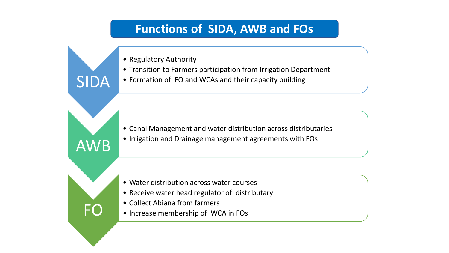### **Functions of SIDA, AWB and FOs**

- Regulatory Authority
- Transition to Farmers participation from Irrigation Department
- Formation of FO and WCAs and their capacity building

• Canal Management and water distribution across distributaries • Irrigation and Drainage management agreements with FOs

- Water distribution across water courses
- Receive water head regulator of distributary
- Collect Abiana from farmers
- Increase membership of WCA in FOs

SIDA

AWB

FO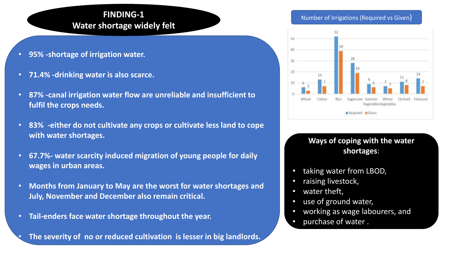### **FINDING-1 Water shortage widely felt**

- **95% -shortage of irrigation water.**
- **71.4% -drinking water is also scarce.**
- **87% -canal irrigation water flow are unreliable and insufficient to fulfil the crops needs.**
- **83% -either do not cultivate any crops or cultivate less land to cope with water shortages.**
- **67.7%- water scarcity induced migration of young people for daily wages in urban areas.**
- **Months from January to May are the worst for water shortages and July, November and December also remain critical.**
- **Tail-enders face water shortage throughout the year.**
- **The severity of no or reduced cultivation is lesser in big landlords.**

#### Number of Irrigations (Required vs Given)



### **Ways of coping with the water shortages**:

- taking water from LBOD,
- raising livestock,
- water theft,
- use of ground water,
- working as wage labourers, and
- purchase of water .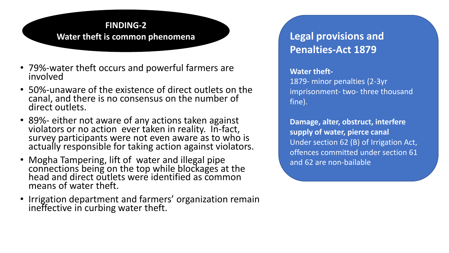### **FINDING-2**

**Water theft is common phenomena Legal provisions and** 

- 79%-water theft occurs and powerful farmers are involved
- 50%-unaware of the existence of direct outlets on the canal, and there is no consensus on the number of direct outlets.
- 89%- either not aware of any actions taken against violators or no action ever taken in reality. In-fact, survey participants were not even aware as to who is actually responsible for taking action against violators.
- Mogha Tampering, lift of water and illegal pipe connections being on the top while blockages at the head and direct outlets were identified as common means of water theft.
- Irrigation department and farmers' organization remain ineffective in curbing water theft.

# **Penalties-Act 1879**

**Water theft-**

1879- minor penalties (2-3yr imprisonment- two- three thousand fine).

**Damage, alter, obstruct, interfere supply of water, pierce canal** Under section 62 (B) of Irrigation Act, offences committed under section 61 and 62 are non-bailable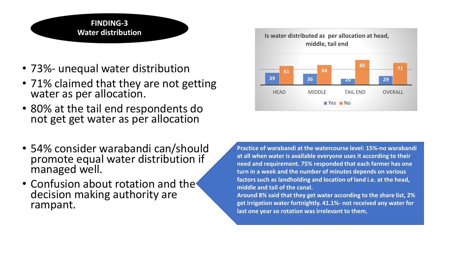

- 73%- unequal water distribution
- 71% claimed that they are not getting water as per allocation.
- 80% at the tail end respondents do not get get water as per allocation
- 54% consider warabandi can/should promote equal water distribution if managed well.
- Confusion about rotation and the decision making authority are rampant.



**Practice of warabandi at the watercourse level: 15%-no warabandi at all when water is available everyone uses it according to their need and requirement. 75% responded that each farmer has one turn in a week and the number of minutes depends on various factors such as landholding and location of land i.e. at the head, middle and tail of the canal.** 

**Around 8% said that they get water according to the share list, 2% get irrigation water fortnightly. 41.1%- not received any water for last one year so rotation was irrelevant to them,**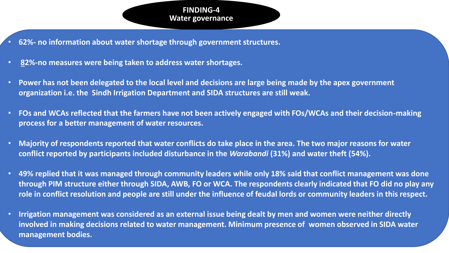

- **62%- no information about water shortage through government structures.**
- **82%-no measures were being taken to address water shortages.**
- **Power has not been delegated to the local level and decisions are large being made by the apex government organization i.e. the Sindh Irrigation Department and SIDA structures are still weak.**
- **FOs and WCAs reflected that the farmers have not been actively engaged with FOs/WCAs and their decision-making process for a better management of water resources.**
- **Majority of respondents reported that water conflicts do take place in the area. The two major reasons for water conflict reported by participants included disturbance in the** *Warabandi* **(31%) and water theft (54%).**
- **49% replied that it was managed through community leaders while only 18% said that conflict management was done through PIM structure either through SIDA, AWB, FO or WCA. The respondents clearly indicated that FO did no play any role in conflict resolution and people are still under the influence of feudal lords or community leaders in this respect.**
- **Irrigation management was considered as an external issue being dealt by men and women were neither directly involved in making decisions related to water management. Minimum presence of women observed in SIDA water management bodies.**